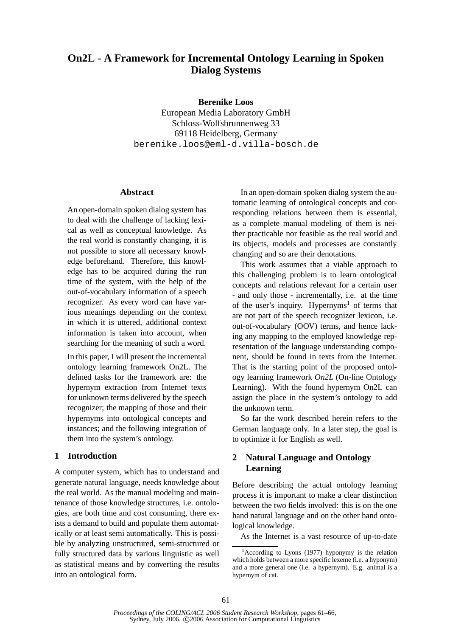# **On2L - A Framework for Incremental Ontology Learning in Spoken Dialog Systems**

**Berenike Loos**

European Media Laboratory GmbH Schloss-Wolfsbrunnenweg 33 69118 Heidelberg, Germany berenike.loos@eml-d.villa-bosch.de

#### **Abstract**

An open-domain spoken dialog system has to deal with the challenge of lacking lexical as well as conceptual knowledge. As the real world is constantly changing, it is not possible to store all necessary knowledge beforehand. Therefore, this knowledge has to be acquired during the run time of the system, with the help of the out-of-vocabulary information of a speech recognizer. As every word can have various meanings depending on the context in which it is uttered, additional context information is taken into account, when searching for the meaning of such a word.

In this paper, I will present the incremental ontology learning framework On2L. The defined tasks for the framework are: the hypernym extraction from Internet texts for unknown terms delivered by the speech recognizer; the mapping of those and their hypernyms into ontological concepts and instances; and the following integration of them into the system's ontology.

## **1 Introduction**

A computer system, which has to understand and generate natural language, needs knowledge about the real world. As the manual modeling and maintenance of those knowledge structures, i.e. ontologies, are both time and cost consuming, there exists a demand to build and populate them automatically or at least semi automatically. This is possible by analyzing unstructured, semi-structured or fully structured data by various linguistic as well as statistical means and by converting the results into an ontological form.

In an open-domain spoken dialog system the automatic learning of ontological concepts and corresponding relations between them is essential, as a complete manual modeling of them is neither practicable nor feasible as the real world and its objects, models and processes are constantly changing and so are their denotations.

This work assumes that a viable approach to this challenging problem is to learn ontological concepts and relations relevant for a certain user - and only those - incrementally, i.e. at the time of the user's inquiry. Hypernyms<sup>1</sup> of terms that are not part of the speech recognizer lexicon, i.e. out-of-vocabulary (OOV) terms, and hence lacking any mapping to the employed knowledge representation of the language understanding component, should be found in texts from the Internet. That is the starting point of the proposed ontology learning framework *On2L* (On-line Ontology Learning). With the found hypernym On2L can assign the place in the system's ontology to add the unknown term.

So far the work described herein refers to the German language only. In a later step, the goal is to optimize it for English as well.

## **2 Natural Language and Ontology Learning**

Before describing the actual ontology learning process it is important to make a clear distinction between the two fields involved: this is on the one hand natural language and on the other hand ontological knowledge.

As the Internet is a vast resource of up-to-date

 $1^1$ According to Lyons (1977) hyponymy is the relation which holds between a more specific lexeme (i.e. a hyponym) and a more general one (i.e. a hypernym). E.g. animal is a hypernym of cat.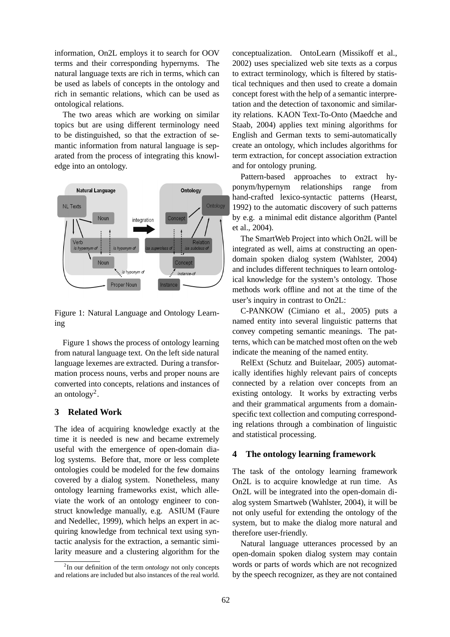information, On2L employs it to search for OOV terms and their corresponding hypernyms. The natural language texts are rich in terms, which can be used as labels of concepts in the ontology and rich in semantic relations, which can be used as ontological relations.

The two areas which are working on similar topics but are using different terminology need to be distinguished, so that the extraction of semantic information from natural language is separated from the process of integrating this knowledge into an ontology.



Figure 1: Natural Language and Ontology Learning

Figure 1 shows the process of ontology learning from natural language text. On the left side natural language lexemes are extracted. During a transformation process nouns, verbs and proper nouns are converted into concepts, relations and instances of an ontology<sup>2</sup>.

## **3 Related Work**

The idea of acquiring knowledge exactly at the time it is needed is new and became extremely useful with the emergence of open-domain dialog systems. Before that, more or less complete ontologies could be modeled for the few domains covered by a dialog system. Nonetheless, many ontology learning frameworks exist, which alleviate the work of an ontology engineer to construct knowledge manually, e.g. ASIUM (Faure and Nedellec, 1999), which helps an expert in acquiring knowledge from technical text using syntactic analysis for the extraction, a semantic similarity measure and a clustering algorithm for the conceptualization. OntoLearn (Missikoff et al., 2002) uses specialized web site texts as a corpus to extract terminology, which is filtered by statistical techniques and then used to create a domain concept forest with the help of a semantic interpretation and the detection of taxonomic and similarity relations. KAON Text-To-Onto (Maedche and Staab, 2004) applies text mining algorithms for English and German texts to semi-automatically create an ontology, which includes algorithms for term extraction, for concept association extraction and for ontology pruning.

Pattern-based approaches to extract hyponym/hypernym relationships range from hand-crafted lexico-syntactic patterns (Hearst, 1992) to the automatic discovery of such patterns by e.g. a minimal edit distance algorithm (Pantel et al., 2004).

The SmartWeb Project into which On2L will be integrated as well, aims at constructing an opendomain spoken dialog system (Wahlster, 2004) and includes different techniques to learn ontological knowledge for the system's ontology. Those methods work offline and not at the time of the user's inquiry in contrast to On2L:

C-PANKOW (Cimiano et al., 2005) puts a named entity into several linguistic patterns that convey competing semantic meanings. The patterns, which can be matched most often on the web indicate the meaning of the named entity.

RelExt (Schutz and Buitelaar, 2005) automatically identifies highly relevant pairs of concepts connected by a relation over concepts from an existing ontology. It works by extracting verbs and their grammatical arguments from a domainspecific text collection and computing corresponding relations through a combination of linguistic and statistical processing.

#### **4 The ontology learning framework**

The task of the ontology learning framework On2L is to acquire knowledge at run time. As On2L will be integrated into the open-domain dialog system Smartweb (Wahlster, 2004), it will be not only useful for extending the ontology of the system, but to make the dialog more natural and therefore user-friendly.

Natural language utterances processed by an open-domain spoken dialog system may contain words or parts of words which are not recognized by the speech recognizer, as they are not contained

<sup>2</sup> In our definition of the term *ontology* not only concepts and relations are included but also instances of the real world.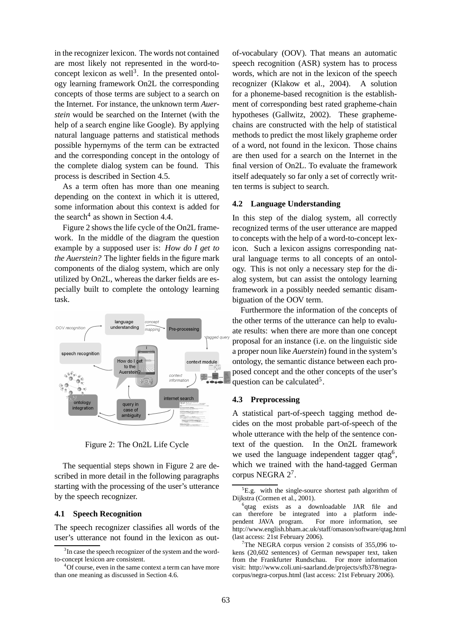in the recognizer lexicon. The words not contained are most likely not represented in the word-toconcept lexicon as well<sup>3</sup>. In the presented ontology learning framework On2L the corresponding concepts of those terms are subject to a search on the Internet. For instance, the unknown term *Auerstein* would be searched on the Internet (with the help of a search engine like Google). By applying natural language patterns and statistical methods possible hypernyms of the term can be extracted and the corresponding concept in the ontology of the complete dialog system can be found. This process is described in Section 4.5.

As a term often has more than one meaning depending on the context in which it is uttered, some information about this context is added for the search<sup>4</sup> as shown in Section 4.4.

Figure 2 shows the life cycle of the On2L framework. In the middle of the diagram the question example by a supposed user is: *How do I get to the Auerstein?* The lighter fields in the figure mark components of the dialog system, which are only utilized by On2L, whereas the darker fields are especially built to complete the ontology learning task.



Figure 2: The On2L Life Cycle

The sequential steps shown in Figure 2 are described in more detail in the following paragraphs starting with the processing of the user's utterance by the speech recognizer.

#### **4.1 Speech Recognition**

The speech recognizer classifies all words of the user's utterance not found in the lexicon as outof-vocabulary (OOV). That means an automatic speech recognition (ASR) system has to process words, which are not in the lexicon of the speech recognizer (Klakow et al., 2004). A solution for a phoneme-based recognition is the establishment of corresponding best rated grapheme-chain hypotheses (Gallwitz, 2002). These graphemechains are constructed with the help of statistical methods to predict the most likely grapheme order of a word, not found in the lexicon. Those chains are then used for a search on the Internet in the final version of On2L. To evaluate the framework itself adequately so far only a set of correctly written terms is subject to search.

### **4.2 Language Understanding**

In this step of the dialog system, all correctly recognized terms of the user utterance are mapped to concepts with the help of a word-to-concept lexicon. Such a lexicon assigns corresponding natural language terms to all concepts of an ontology. This is not only a necessary step for the dialog system, but can assist the ontology learning framework in a possibly needed semantic disambiguation of the OOV term.

Furthermore the information of the concepts of the other terms of the utterance can help to evaluate results: when there are more than one concept proposal for an instance (i.e. on the linguistic side a proper noun like *Auerstein*) found in the system's ontology, the semantic distance between each proposed concept and the other concepts of the user's question can be calculated<sup>5</sup>.

#### **4.3 Preprocessing**

A statistical part-of-speech tagging method decides on the most probable part-of-speech of the whole utterance with the help of the sentence context of the question. In the On2L framework we used the language independent tagger qtag<sup>6</sup>, which we trained with the hand-tagged German corpus NEGRA 2<sup>7</sup>.

<sup>&</sup>lt;sup>3</sup>In case the speech recognizer of the system and the wordto-concept lexicon are consistent.

 $4$ Of course, even in the same context a term can have more than one meaning as discussed in Section 4.6.

 ${}^{5}E.g.$  with the single-source shortest path algorithm of Dijkstra (Cormen et al., 2001).

<sup>&</sup>lt;sup>6</sup>qtag exists as a downloadable JAR file and can therefore be integrated into a platform independent JAVA program. For more information, see http://www.english.bham.ac.uk/staff/omason/software/qtag.html (last access: 21st February 2006).

 $7$ The NEGRA corpus version 2 consists of 355,096 tokens (20,602 sentences) of German newspaper text, taken from the Frankfurter Rundschau. For more information visit: http://www.coli.uni-saarland.de/projects/sfb378/negracorpus/negra-corpus.html (last access: 21st February 2006).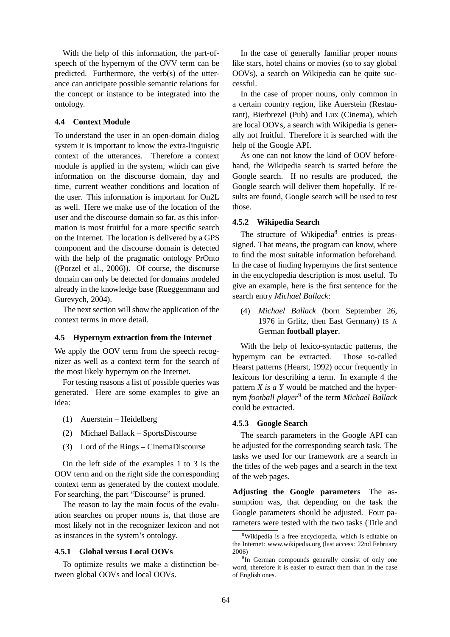With the help of this information, the part-ofspeech of the hypernym of the OVV term can be predicted. Furthermore, the verb(s) of the utterance can anticipate possible semantic relations for the concept or instance to be integrated into the ontology.

### **4.4 Context Module**

To understand the user in an open-domain dialog system it is important to know the extra-linguistic context of the utterances. Therefore a context module is applied in the system, which can give information on the discourse domain, day and time, current weather conditions and location of the user. This information is important for On2L as well. Here we make use of the location of the user and the discourse domain so far, as this information is most fruitful for a more specific search on the Internet. The location is delivered by a GPS component and the discourse domain is detected with the help of the pragmatic ontology PrOnto ((Porzel et al., 2006)). Of course, the discourse domain can only be detected for domains modeled already in the knowledge base (Rueggenmann and Gurevych, 2004).

The next section will show the application of the context terms in more detail.

### **4.5 Hypernym extraction from the Internet**

We apply the OOV term from the speech recognizer as well as a context term for the search of the most likely hypernym on the Internet.

For testing reasons a list of possible queries was generated. Here are some examples to give an idea:

- (1) Auerstein Heidelberg
- (2) Michael Ballack SportsDiscourse
- (3) Lord of the Rings CinemaDiscourse

On the left side of the examples 1 to 3 is the OOV term and on the right side the corresponding context term as generated by the context module. For searching, the part "Discourse" is pruned.

The reason to lay the main focus of the evaluation searches on proper nouns is, that those are most likely not in the recognizer lexicon and not as instances in the system's ontology.

#### **4.5.1 Global versus Local OOVs**

To optimize results we make a distinction between global OOVs and local OOVs.

In the case of generally familiar proper nouns like stars, hotel chains or movies (so to say global OOVs), a search on Wikipedia can be quite successful.

In the case of proper nouns, only common in a certain country region, like Auerstein (Restaurant), Bierbrezel (Pub) and Lux (Cinema), which are local OOVs, a search with Wikipedia is generally not fruitful. Therefore it is searched with the help of the Google API.

As one can not know the kind of OOV beforehand, the Wikipedia search is started before the Google search. If no results are produced, the Google search will deliver them hopefully. If results are found, Google search will be used to test those.

#### **4.5.2 Wikipedia Search**

The structure of Wikipedia<sup>8</sup> entries is preassigned. That means, the program can know, where to find the most suitable information beforehand. In the case of finding hypernyms the first sentence in the encyclopedia description is most useful. To give an example, here is the first sentence for the search entry *Michael Ballack*:

(4) *Michael Ballack* (born September 26, 1976 in Grlitz, then East Germany) IS A German **football player**.

With the help of lexico-syntactic patterns, the hypernym can be extracted. Those so-called Hearst patterns (Hearst, 1992) occur frequently in lexicons for describing a term. In example 4 the pattern *X is a Y* would be matched and the hypernym *football player*<sup>9</sup> of the term *Michael Ballack* could be extracted.

### **4.5.3 Google Search**

The search parameters in the Google API can be adjusted for the corresponding search task. The tasks we used for our framework are a search in the titles of the web pages and a search in the text of the web pages.

**Adjusting the Google parameters** The assumption was, that depending on the task the Google parameters should be adjusted. Four parameters were tested with the two tasks (Title and

<sup>8</sup>Wikipedia is a free encyclopedia, which is editable on the Internet: www.wikipedia.org (last access: 22nd February 2006)

<sup>&</sup>lt;sup>9</sup>In German compounds generally consist of only one word, therefore it is easier to extract them than in the case of English ones.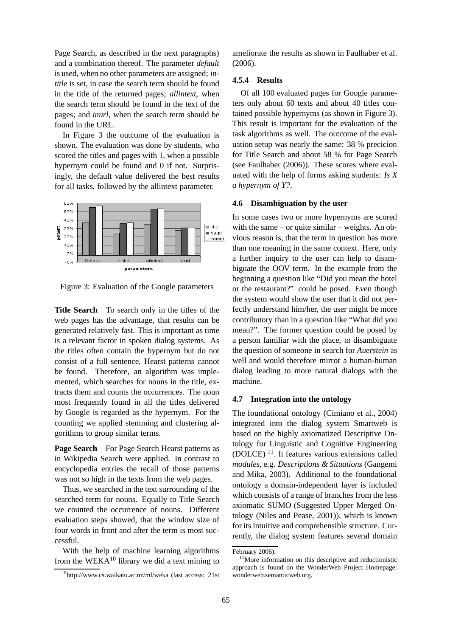Page Search, as described in the next paragraphs) and a combination thereof. The parameter *default* is used, when no other parameters are assigned; *intitle* is set, in case the search term should be found in the title of the returned pages; *allintext*, when the search term should be found in the text of the pages; and *inurl*, when the search term should be found in the URL.

In Figure 3 the outcome of the evaluation is shown. The evaluation was done by students, who scored the titles and pages with 1, when a possible hypernym could be found and 0 if not. Surprisingly, the default value delivered the best results for all tasks, followed by the allintext parameter.



Figure 3: Evaluation of the Google parameters

**Title Search** To search only in the titles of the web pages has the advantage, that results can be generated relatively fast. This is important as time is a relevant factor in spoken dialog systems. As the titles often contain the hypernym but do not consist of a full sentence, Hearst patterns cannot be found. Therefore, an algorithm was implemented, which searches for nouns in the title, extracts them and counts the occurrences. The noun most frequently found in all the titles delivered by Google is regarded as the hypernym. For the counting we applied stemming and clustering algorithms to group similar terms.

**Page Search** For Page Search Hearst patterns as in Wikipedia Search were applied. In contrast to encyclopedia entries the recall of those patterns was not so high in the texts from the web pages.

Thus, we searched in the text surrounding of the searched term for nouns. Equally to Title Search we counted the occurrence of nouns. Different evaluation steps showed, that the window size of four words in front and after the term is most successful.

With the help of machine learning algorithms from the WEKA $10$  library we did a text mining to

ameliorate the results as shown in Faulhaber et al.  $(2006)$ .

### **4.5.4 Results**

Of all 100 evaluated pages for Google parameters only about 60 texts and about 40 titles contained possible hypernyms (as shown in Figure 3). This result is important for the evaluation of the task algorithms as well. The outcome of the evaluation setup was nearly the same: 38 % precicion for Title Search and about 58 % for Page Search (see Faulhaber (2006)). These scores where evaluated with the help of forms asking students: *Is X a hypernym of Y?*.

#### **4.6 Disambiguation by the user**

In some cases two or more hypernyms are scored with the same – or quite similar – weights. An obvious reason is, that the term in question has more than one meaning in the same context. Here, only a further inquiry to the user can help to disambiguate the OOV term. In the example from the beginning a question like "Did you mean the hotel or the restaurant?" could be posed. Even though the system would show the user that it did not perfectly understand him/her, the user might be more contributory than in a question like "What did you mean?". The former question could be posed by a person familiar with the place, to disambiguate the question of someone in search for *Auerstein* as well and would therefore mirror a human-human dialog leading to more natural dialogs with the machine.

### **4.7 Integration into the ontology**

The foundational ontology (Cimiano et al., 2004) integrated into the dialog system Smartweb is based on the highly axiomatized Descriptive Ontology for Linguistic and Cognitive Engineering (DOLCE)<sup>11</sup>. It features various extensions called *modules*, e.g. *Descriptions & Situations* (Gangemi and Mika, 2003). Additional to the foundational ontology a domain-independent layer is included which consists of a range of branches from the less axiomatic SUMO (Suggested Upper Merged Ontology (Niles and Pease, 2001)), which is known for its intuitive and comprehensible structure. Currently, the dialog system features several domain

<sup>10</sup>http://www.cs.waikato.ac.nz/ml/weka (last access: 21st

February 2006).

<sup>&</sup>lt;sup>11</sup>More information on this descriptive and reductionistic approach is found on the WonderWeb Project Homepage: wonderweb.semanticweb.org.